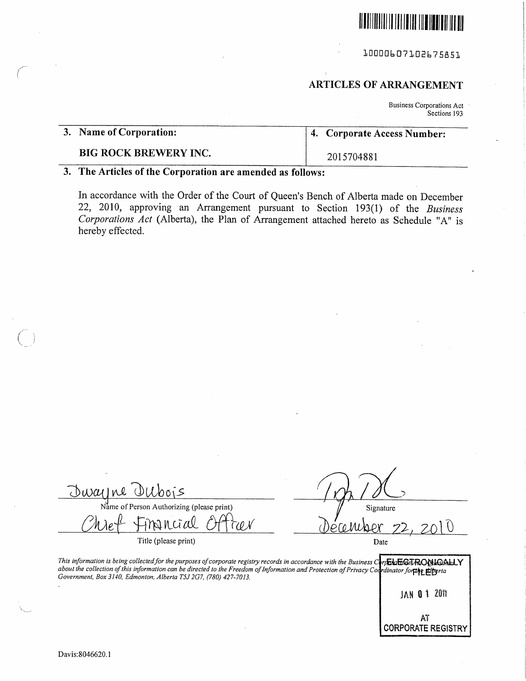

10000607102675851

# ARTICLES OF ARRANGEMENT

<sup>B</sup>usiness Corporations Act Sections 193

| 3. Name of Corporation:      | 4. Corporate Access Number: |
|------------------------------|-----------------------------|
| <b>BIG ROCK BREWERY INC.</b> | 2015704881                  |

### 3. The Articles of the Corporation are amended as follows:

<sup>I</sup>n accordance with the Order of the Court of Queen's Bench of Alberta made on December 22, 2010, approving an Arrangement pursuant to Section 193(1) of the Business <sup>C</sup>orporations Act (Alberta), the Plan of Arrangement attached hereto as Schedule "A" is hereby effected.

Owayne Ollbois  $N_{\text{a}}^{\text{M}}$  of Person Authorizing (please print) Signature inancial tæN

<sup>T</sup>itle (please print)

<u>ecember 22, 2010</u> Date

This information is being collected for the purposes of corporate registry records in accordance with the Business Corpha EGTRONACALLY about the collection of this information can be directed to the Freedom of Information and Protection of Privacy Codrdinator for the Elberta Government, Box 3140, Edmonton, Alberta T5J 2G7, (780) 427-7013,

JAN 0 1 2011

AT CORPORATE REGISTRY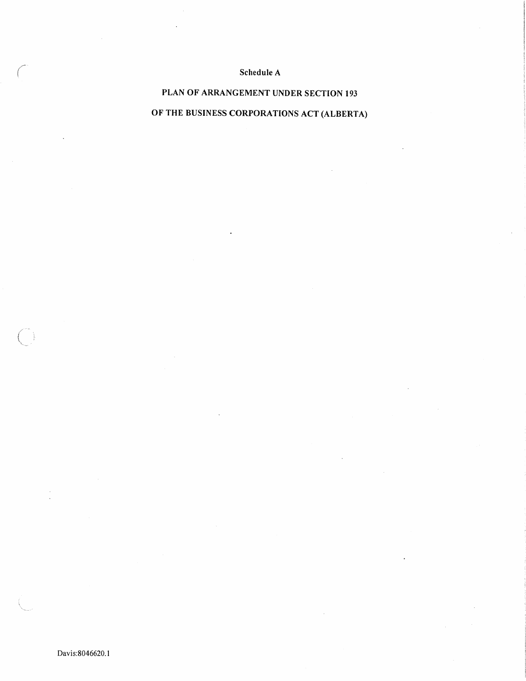## Schedule A

# PLAN OF ARRANGEMENT UNDER SECTION 193 <sup>O</sup>F THE BUSINESS CORPORATIONS ACT (ALBERTA)

Davis:8046620.1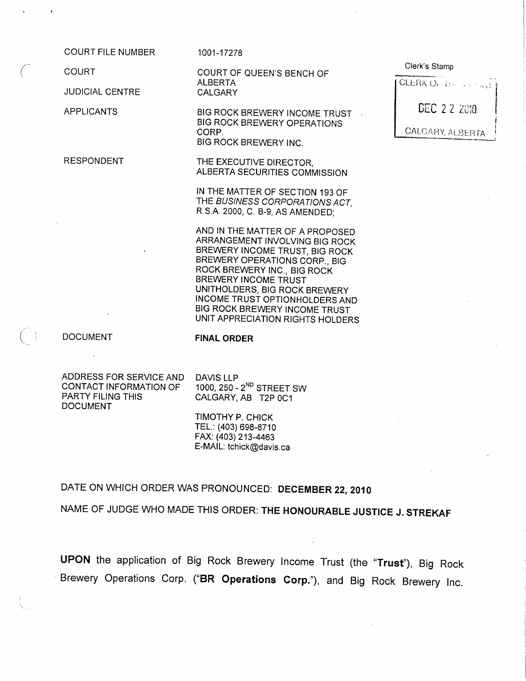COURT FILE NUMBER

**COURT** 

**JUDICIAL CENTRE** 

APPLICANTS

RESPONDENT

1001-17278

COURT OF QUEEN'S BENCH OF ALBERTA CALGARY

BIG ROCK BREWERY INCOME TRUST BIG ROCK BREWERY OPERATIONS CORP. BIG ROCK BREWERY INC.

<sup>T</sup>HE EXECUTIVE DIRECTOR, ALBERTA SECURITIES COMMISSION

IN THE MATTER OF SECTION 193 OF <sup>T</sup>HE BUSINESS CORPORATIONS ACT, R.S.A. 2000, C. B-9, AS AMENDED;

AND IN THE MATTER OF A PROPOSED ARRANGEMENT INVOLVING BIG ROCK <sup>B</sup>REWERY INCOME TRUST, BIG ROCK <sup>B</sup>REWERY OPERATIONS CORP., BIG ROCK BREWERY INC., BIG ROCK BREWERY INCOME TRUST UNITHOLDERS, BIG ROCK BREWERY INCOME TRUST OPTIONHOLDERS AND <sup>B</sup>IG ROCK BREWERY INCOME TRUST UNIT APPRECIATION RIGHTS HOLDERS

DOCUMENT

FINAL ORDER

ADDRESS FOR SERVICE AND CONTACT INFORMATION OF PARTY FILING THIS DOCUMENT

DAVIS LLP 1000, 250 - 2<sup>ND</sup> STREET SW CALGARY, AB T2P 0C1

TIMOTHY P. CHICK TEL.: (403) 698-8710 FAX: (403) 213-4463 E-MAIL: tchick@davis.ca

<sup>D</sup>ATE ON WHICH ORDER WAS PRONOUNCED: DECEMBER 22, <sup>2010</sup>

<sup>N</sup>AME OF JUDGE WHO MADE THIS ORDER: THE HONOURABLE JUSTICE J. STREKAF

<sup>U</sup>PON the application of Big Rock Brewery Income Trust (the "Trust"), Big Rock <sup>B</sup>rewery Operations Corp. ("BR Operations Corp."), and Big Rock Brewery Inc.

| Clerk's Stamp                           |  |
|-----------------------------------------|--|
| $[CLERK O_{C}](\ldots, \mathbb{Z}_{n})$ |  |
| <b>DEC 2.2 2810</b>                     |  |
| <b>CALCARY, ALBERTA</b>                 |  |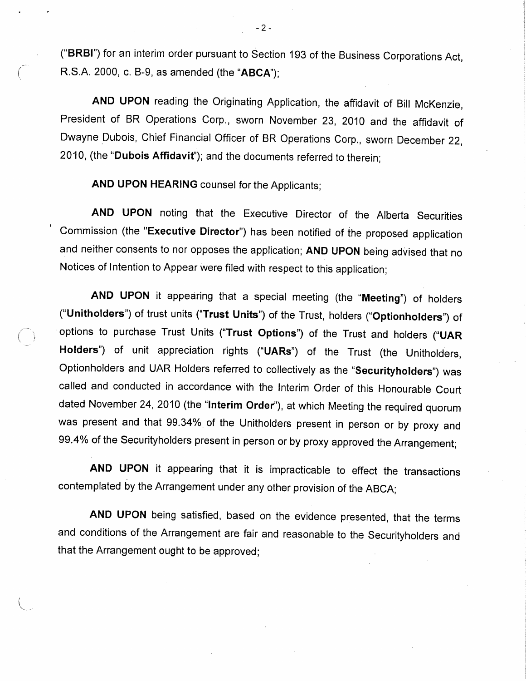("BRBI") for an interim order pursuant to Section 193 of the Business Corporations Act, <sup>R</sup>.S.A. 2000, c. B-9, as amended (the "ABCA");

<sup>A</sup>ND UPON reading the Originating Application, the affidavit of Bill McKenzie, <sup>P</sup>resident of BR Operations Corp., sworn November 23, 2010 and the affidavit of <sup>D</sup>wayne Dubois, Chief Financial Officer of BR Operations Corp., sworn December 22, <sup>2</sup>010, (the "Dubois Affidavit'); and the documents referred to therein;

<sup>A</sup>ND UPON HEARING counsel for the Applicants;

<sup>A</sup>ND UPON noting that the Executive Director of the Alberta Securities <sup>C</sup>ommission (the "Executive Director") has been notified of the proposed application <sup>a</sup>nd neither consents to nor opposes the application; AND UPON being advised that no <sup>N</sup>otices of Intention to Appear were filed with respect to this application;

<sup>A</sup>ND UPON it appearing that a special meeting (the "Meeting") of holders ("Unitholders") of trust units ("Trust Units") of the Trust, holders ("Optionholders") of options to purchase Trust Units ("Trust Options") of the Trust and holders ("UAR <sup>H</sup>olders") of unit appreciation rights ("UARs") of the Trust (the Unitholders, <sup>O</sup>ptionholders and UAR Holders referred to collectively as the "Securityholders") was <sup>c</sup>alled and conducted in accordance with the Interim Order of this Honourable Court dated November 24, 2010 (the "Interim Order"), at which Meeting the required quorum <sup>w</sup>as present and that 99.34% of the Unitholders present in person or by proxy and <sup>9</sup>9.4% of the Securityholders present in person or by proxy approved the Arrangement;

<sup>A</sup>ND UPON it appearing that it is impracticable to effect the transactions <sup>c</sup>ontemplated by the Arrangement under any other provision of the ABCA;

<sup>A</sup>ND UPON being satisfied, based on the evidence presented, that the terms <sup>a</sup>nd conditions of the Arrangement are fair and reasonable to the Securityholders and <sup>t</sup>hat the Arrangement ought to be approved;

 $-2-$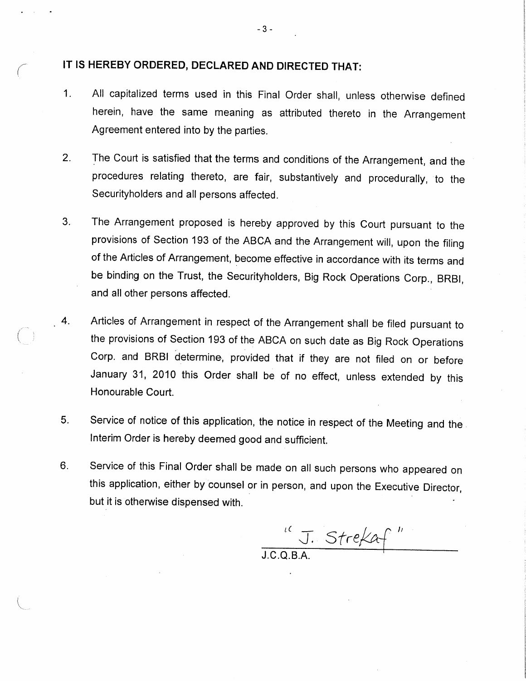### IT IS HEREBY ORDERED, DECLARED AND DIRECTED THAT:

- <sup>1</sup>. All capitalized terms used in this Final Order shall, unless otherwise defined <sup>h</sup>erein, have the same meaning as attributed thereto in the Arrangement <sup>A</sup>greement entered into by the parties.
- <sup>T</sup>he Court is satisfied that the terms and conditions of the Arrangement, and the  $2.$ <sup>p</sup>rocedures relating thereto, are fair, substantively and procedurally, to the <sup>S</sup>ecurityholders and all persons affected.
- <sup>3</sup>. The Arrangement proposed is hereby approved by this Court pursuant to the <sup>p</sup>rovisions of Section 193 of the ABCA and the Arrangement will, upon the filing <sup>o</sup>f the Articles of Arrangement, become effective in accordance with its terms and <sup>b</sup>e binding on the Trust, the Securityholders, Big Rock Operations Corp., BRBI, <sup>a</sup>nd all other persons affected.
- <sup>4</sup>. Articles of Arrangement in respect of the Arrangement shall be filed pursuant to <sup>t</sup>he provisions of Section 193 of the ABCA on such date as Big Rock Operations <sup>C</sup>orp. and BRBI determine, provided that if they are not filed on or before <sup>J</sup>anuary 31, 2010 this Order shall be of no effect, unless extended by this Honourable Court.
	- <sup>5</sup>. Service of notice of this application, the notice in respect of the Meeting and the Interim Order is hereby deemed good and sufficient.
	- 6. Service of this Final Order shall be made on all such persons who appeared on <sup>t</sup>his application, either by counsel or in person, and upon the Executive Director, but it is otherwise dispensed with.

STreka+

J.C.Q.B.A.

 $-3-$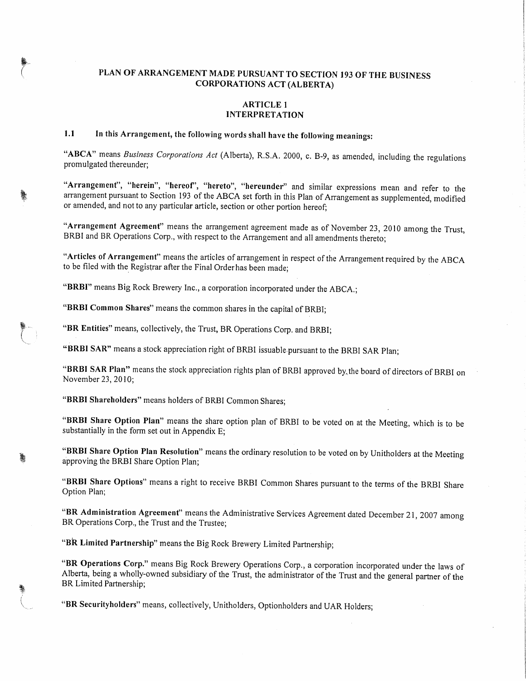### PLAN OF ARRANGEMENT MADE PURSUANT TO SECTION 193 OF THE BUSINESS <sup>C</sup>ORPORATIONS ACT (ALBERTA)

#### ARTICLE 1 INTERPRETATION

# <sup>1</sup>.1 In this Arrangement, the following words shall have the following meanings:

"ABCA" means Business Corporations Act (Alberta), R.S.A. 2000, c. B-9, as amended, including the regulations promulgated thereunder;

"Arrangement", "herein", "hereof', "hereto", "hereunder" and similar expressions mean and refer to the <sup>a</sup>rrangement pursuant to Section 193 of the ABCA set forth in this Plan of Arrangement as supplemented, modified <sup>o</sup>r amended, and not to any particular article, section or other portion hereof;

"Arrangement Agreement" means the arrangement agreement made as of November 23, 2010 among the Trust, <sup>B</sup>RBI and BR Operations Corp., with respect to the Arrangement and all amendments thereto;

"Articles of Arrangement" means the articles of arrangement in respect of the Arrangement required by the ABCA <sup>t</sup>o be filed with the Registrar after the Final Order has been made;

"BRBI" means Big Rock Brewery Inc., a corporation incorporated under the ABCA.;

"BRBI Common Shares" means the common shares in the capital of BRBI;

"BR Entities" means, collectively, the Trust, BR Operations Corp. and BRBI;

"BRBI SAR" means a stock appreciation right of BRBI issuable.pursuant to the BRBI SAR Plan;

"BRBI SAR Plan" means the stock appreciation rights plan of BRBI approved by.the board of directors of BRBI on November 23, 2010;

"BRBI Shareholders" means holders of BRBI Common Shares;

"BRBI Share Option Plan" means the share option plan of BRBI to be voted on at the Meeting, which is to be <sup>s</sup>ubstantially in the form set out in Appendix E;

"BRBI Share Option Plan Resolution" means the ordinary resolution to be voted on by Unitholders at the Meeting <sup>a</sup>pproving the BRBI Share Option Plan;

"BRBI Share Options" means a right to receive BRBI Common Shares pursuant to the terms of the BRBI Share Option Plan;

"BR Administration Agreement" means the Administrative Services Agreement dated December 21, 2007 among <sup>B</sup>R Operations Corp., the Trust and the Trustee;

"BR Limited Partnership" means the Big Rock Brewery Limited Partnership;

"BR Operations Corp." means Big Rock Brewery Operations Corp., a corporation incorporated under the laws of <sup>A</sup>lberta, being a wholly-owned subsidiary of the Trust, the administrator of the Trust and the general partner of the <sup>B</sup>R Limited Partnership;

"BR Securityholders" means, collectively, Unitholders, Optionholders and UAR Holders;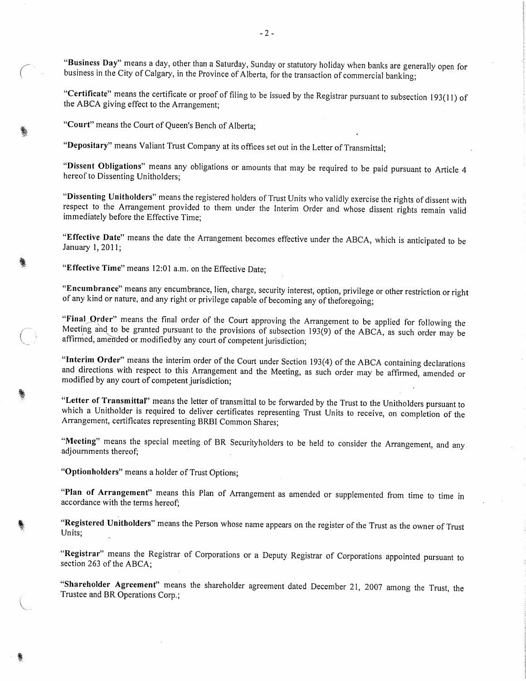"Business Day" means a day, other than a Saturday, Sunday or statutory holiday when banks are generally open for business in the City of Calgary, in the Province of Alberta, for the transaction of commercial banking;

"Certificate" means the certificate or proof of filing to be issued by the Registrar pursuant to subsection 193(1 1) of <sup>t</sup>he ABCA giving effect to the Arrangement;

"Court" means the Court of Queen's Bench of Alberta;

"Depositary" means Valiant Trust Company at its offices set out in the Letter of Transmittal;

"Dissent Obligations" means any obligations or amounts that may be required to be paid pursuant to Article <sup>4</sup> hereof to Dissenting Unitholders;

"Dissenting Unitholders" means the registered holders of Trust Units who validly exercise the rights of dissent with <sup>r</sup>espect to the Arrangement provided to them under the Interim Order and whose dissent rights remain valid immediately before the Effective Time;

"Effective Date" means the date the Arrangement becomes effective under the ABCA, which is anticipated to be January 1, 2011;

"Effective Time" means 12:01 a.m. on the Effective Date;

"Encumbrance" means any encumbrance, lien, charge, security interest, option, privilege or other restriction or right <sup>o</sup>f any kind or nature, and any right or privilege capable of becoming any of theforegoing;

"Final Order" means the final order of the Court approving the Arrangement to be applied for following the Meeting and to be granted pursuant to the provisions of subsection 193(9) of the ABCA, as such order may be <sup>a</sup>ffirmed, amended or modified by any court of competent jurisdiction;

"Interim Order" means the interim order of the Court under Section 193(4) of the ABCA containing declarations <sup>a</sup>nd directions with respect to this Arrangement and the Meeting, as such order may be affirmed, amended or <sup>m</sup>odified by any court of competent jurisdiction;

"Letter of Transmittal" means the letter of transmittal to be forwarded by the Trust to the Unitholders pursuant to <sup>w</sup>hich a Unitholder is required to deliver certificates representing Trust Units to receive, on completion of the <sup>A</sup>rrangement, certificates representing BRBI Common Shares;

"Meeting" means the special meeting of BR Securityholders to be held to consider the Arrangement, and any <sup>a</sup>djournments thereof;

"Optionholders" means a holder of Trust Options;

"Plan of Arrangement" means this Plan of Arrangement as amended or supplemented from time to time in accordance with the terms hereof;

"Registered Unitholders" means the Person whose name appears on the register of the Trust as the owner of Trust Units:

"Registrar" means the Registrar of Corporations or a Deputy Registrar of Corporations appointed pursuant to <sup>s</sup>ection 263 of the ABCA;

"Shareholder Agreement" means the shareholder agreement dated December 21, 2007 among the Trust, the <sup>T</sup>rustee and BR Operations Corp.;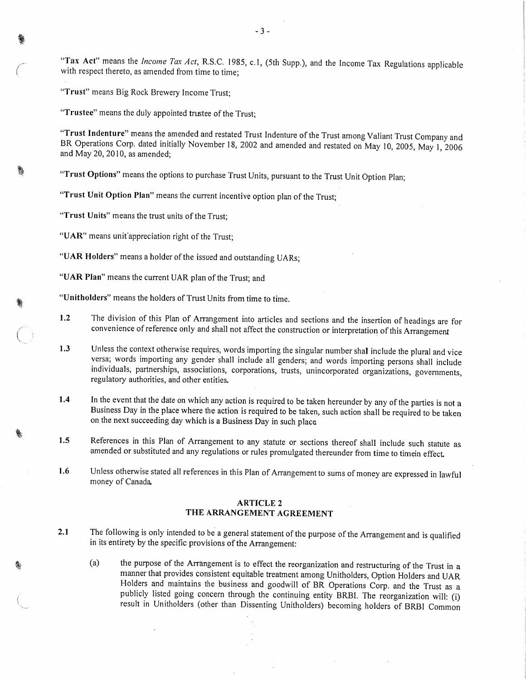"Tax Act" means the *Income Tax Act*, R.S.C. 1985, c.1, (5th Supp.), and the Income Tax Regulations applicable <sup>w</sup>ith respect thereto, as amended from time to time;

"Trust" means Big Rock Brewery Income Trust;

"Trustee" means the duly appointed trustee of the Trust;

"Trust Indenture" means the amended and restated Trust Indenture of the Trust among Valiant Trust Company and BR Operations Corp. dated initially November 18, 2002 and amended and restated on May 10, 2005, May 1, 2006 <sup>a</sup>nd May 20, 2010, as amended;

"Trust Options" means the options to purchase Trust Units, pursuant to the Trust Unit Option Plan;

"Trust Unit Option Plan" means the current incentive option plan of the Trust;

"Trust Units" means the trust units of the Trust;

"UAR" means unit appreciation right of the Trust;

- "UAR Holders" means a holder of the issued and outstanding UARs;
- "UAR Plan" means the current UAR plan of the Trust; and

"Unitholders" means the holders of Trust Units from time to time.

- <sup>1</sup>.2 The division of this Plan of Arrangement into articles and sections and the insertion of headings are for <sup>c</sup>onvenience of reference only and shall not affect the construction or interpretation of this Arrangement
- 1.3 Unless the context otherwise requires, words importing the singular number shal include the plural and vice <sup>v</sup>ersa; words importing any gender shall include all genders; and words importing persons shall include individuals, partnerships, associations, corporations, trusts, unincorporated organizations, governments, <sup>r</sup>egulatory authorities, and other entities.
- 1.4 In the event that the date on which any action is required to be taken hereunder by any of the parties is not a <sup>B</sup>usiness Day in the place where the action is required to be taken, such action shall be required to be taken <sup>o</sup>n the next succeeding day which is a Business Day in such place
- <sup>1</sup>.5 References in this Plan of Arrangement to any statute or sections thereof shall include such statute as <sup>a</sup>mended or substituted and any regulations or rules promulgated thereunder from time to timein effect.
- <sup>1</sup>.6 Unless otherwise stated all references in this Plan of Arrangement to sums of money are expressed in lawful <sup>m</sup>oney of Canada.

#### ARTICLE 2 THE ARRANGEMENT AGREEMENT

- 2.1 The following is only intended to be a general statement of the purpose of the Arrangement and is qualified <sup>i</sup>n its entirety by the specific provisions of the Arrangement:
	- (a) the purpose of the Arrangement is to effect the reorganization and restructuring of the Trust in <sup>a</sup> <sup>m</sup>anner that provides consistent equitable treatment among Unitholders, Option Holders and UAR <sup>H</sup>olders and maintains the business and goodwill of BR Operations Corp. and the Trust as <sup>a</sup> <sup>p</sup>ublicly listed going concern through the continuing entity BRBI. The reorganization will: (i) <sup>r</sup>esult in Unitholders (other than Dissenting Unitholders) becoming holders of BRBI Common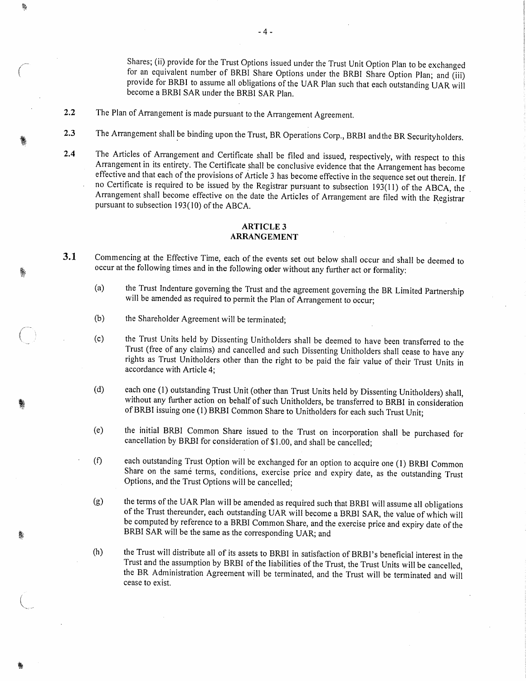<sup>S</sup>hares; (ii) provide for the Trust Options issued under the Trust Unit Option Plan to be exchanged for an equivalent number of BRBI Share Options under the BRBI Share Option Plan; and (iii) <sup>p</sup>rovide for BRBI to assume all obligations of the UAR Plan such that each outstanding UAR will <sup>b</sup>ecome a BRBI SAR under the BRBI SAR Plan,

2.2 The Plan of Arrangement is made pursuant to the Arrangement Agreement.

赣

- 2.3 The Arrangement shall be binding upon the Trust, BR Operations Corp., BRBI and the BR Securityholders.
- <sup>2</sup>.4 The Articles of Arrangement and Certificate shall be filed and issued, respectively, with respect to this <sup>A</sup>rrangement in its entirety. The Certificate shall be conclusive evidence that the Arrangement has become <sup>e</sup>ffective and that each of the provisions of Article 3 has become effective in the sequence set out therein. If <sup>n</sup>o Certificate is required to be issued by the Registrar pursuant to subsection 193(11) of the ABCA, the <sup>A</sup>rrangement shall become effective on the date the Articles of Arrangement are filed with the Registrar pursuant to subsection 193(10) of the ABCA.

#### ARTICLE 3 ARRANGEMENT

- 3.1 Commencing at the Effective Time, each of the events set out below shall occur and shall be deemed to occur at the following times and in the following order without any further act or formality:
	- (a) the Trust Indenture governing the Trust and the agreement governing the BR Limited Partnership <sup>w</sup>ill be amended as required to permit the Plan of Arrangement to occur;
	- (b) the Shareholder Agreement will be terminated;
	- (c) the Trust Units held by Dissenting Unitholders shall be deemed to have been transferred to the <sup>T</sup>rust (free of any claims) and cancelled and such Dissenting Unitholders shall cease to have any <sup>r</sup>ights as Trust Unitholders other than the right to be paid the fair value of their Trust Units in <sup>a</sup>ccordance with Article 4;
	- (d) each one (1) outstanding Trust Unit (other than Trust Units held by Dissenting Unitholders) shall, <sup>w</sup>ithout any further action on behalf of such Unitholders, be transferred to BRBI in consideration <sup>o</sup>f BRBI issuing one (1) BRBI Common Share to Unitholders for each such Trust Unit;
	- (e) the initial BRBI Common Share issued to the Trust on incorporation shall be purchased for <sup>c</sup>ancellation by BRBI for consideration of \$1.00, and shall be cancelled;
	- (f) each outstanding Trust Option will be exchanged for an option to acquire one (1) BRBI Common <sup>S</sup>hare on the same terms, conditions, exercise price and expiry date, as the outstanding Trust <sup>O</sup>ptions, and the Trust Options will be cancelled;
	- (g) the terms of the UAR Plan will be amended as required such that BRBI will assume all obligations <sup>o</sup>f the Trust thereunder, each outstanding UAR will become a BRBI SAR, the value of which will <sup>b</sup>e computed by reference to a BRBI Common Share, and the exercise price and expiry date of the <sup>B</sup>RBI SAR will be the same as the corresponding UAR; and
	- (h) the Trust will distribute all of its assets to BRBI in satisfaction of BRBI's beneficial interest in the <sup>T</sup>rust and the assumption by BRBI of the liabilities of the Trust, the Trust Units will be cancelled, <sup>t</sup>he BR Administration Agreement will be terminated, and the Trust will be terminated and will cease to exist.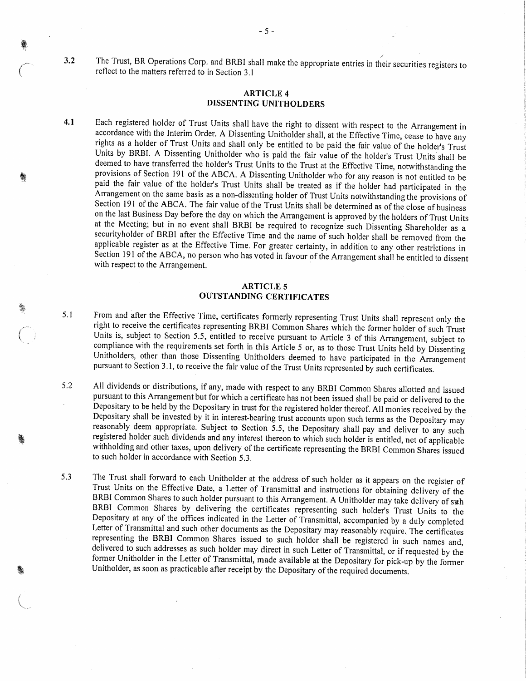<sup>3</sup>.2 The Trust, BR Operations Corp. and BRBI shall make the appropriate entries in their securities registers to <sup>r</sup>eflect to the matters referred to in Section 3.1

#### ARTICLE 4 DISSENTING UNITHOLDERS

 $-5 -$ 

<sup>4</sup>.1 Each registered holder of Trust Units shall have the right to dissent with respect to the Arrangement in <sup>a</sup>ccordance with the Interim Order. A Dissenting Unitholder shall, at the Effective Time, cease to have any <sup>r</sup>ights as a holder of Trust Units and shall only be entitled to be paid the fair value of the holder's Trust <sup>U</sup>nits by BRBI. A Dissenting Unitholder who is paid the fair value of the holder's Trust Units shall be <sup>d</sup>eemed to have transferred the holder's Trust Units to the Trust at the Effective Time, notwithstanding the <sup>p</sup>rovisions of Section 191 of the ABCA. A Dissenting Unitholder who for any reason is not entitled to be <sup>p</sup>aid the fair value of the holder's Trust Units shall be treated as if the holder had participated in the <sup>A</sup>rrangement on the same basis as a non-dissenting holder of Trust Units notwithstanding the provisions of <sup>S</sup>ection 191 of the ABCA. The fair value of the Trust Units shall be determined as of the close of business <sup>o</sup>n the last Business Day before the day on which the Arrangement is approved by the holders of Trust Units <sup>a</sup>t the Meeting; but in no event shall BRBI be required to recognize such Dissenting Shareholder as <sup>a</sup> <sup>s</sup>ecurityholder of BRBI after the Effective Time and the name of such holder shall be removed from the <sup>a</sup>pplicable register as at the Effective Time. For greater certainty, in addition to any other restrictions in <sup>S</sup>ection 191 of the ABCA, no person who has voted in favour of the Arrangement shall be entitled to dissent <sup>w</sup>ith respect to the Arrangement.

#### ARTICLE 5 OUTSTANDING CERTIFICATES

- <sup>5</sup>.1 From and after the Effective Time, certificates formerly representing Trust Units shall represent only the <sup>r</sup>ight to receive the certificates representing BRBI Common Shares which the former holder of such Trust <sup>U</sup>nits is, subject to Section 5.5, entitled to receive pursuant to Article 3 of this Arrangement, subject to <sup>c</sup>ompliance with the requirements set forth in this Article 5 or, as to those Trust Units held by Dissenting <sup>U</sup>nitholders, other than those Dissenting Unitholders deemed to have participated in the Arrangement <sup>p</sup>ursuant to Section 3.1, to receive the fair value of the Trust Units represented by such certificates.
- <sup>5</sup>.2 All dividends or distributions, if any, made with respect to any BRBI Common Shares allotted and issued <sup>p</sup>ursuant to this Arrangement but for which a certificate has not been issued shall be paid or delivered to the <sup>D</sup>epositary to be held by the Depositary in trust for the registered holder thereof. All monies received by the <sup>D</sup>epositary shall be invested by it in interest-bearing trust accounts upon such terms as the Depositary may <sup>r</sup>easonably deem appropriate. Subject to Section 5.5, the Depositary shall pay and deliver to any such <sup>r</sup>egistered holder such dividends and any interest thereon to which such holder is entitled, net of applicable <sup>w</sup>ithholding and other taxes, upon delivery of the certificate representing the BRBI Common Shares issued <sup>t</sup>o such holder in accordance with Section 5.3.
- <sup>5</sup>.3 The Trust shall forward to each Unitholder at the address of such holder as it appears on the register of <sup>T</sup>rust Units on the Effective Date, a Letter of Transmittal and instructions for obtaining delivery of the BRBI Common Shares to such holder pursuant to this Arrangement. A Unitholder may take delivery of such <sup>B</sup>RBI Common Shares by delivering the certificates representing such holder's Trust Units to the <sup>D</sup>epositary at any of the offices indicated in the Letter of Transmittal, accompanied by a duly completed <sup>L</sup>etter of Transmittal and such other documents as the Depositary may reasonably require. The certificates <sup>r</sup>epresenting the BRBI Common Shares issued to such holder shall be registered in such names and, <sup>d</sup>elivered to such addresses as such holder may direct in such Letter of Transmittal, or if requested by the <sup>f</sup>ormer Unitholder in the Letter of Transmittal, made available at the Depositary for pick-up by the former <sup>U</sup>nitholder, as soon as practicable after receipt by the Depositary of the required documents.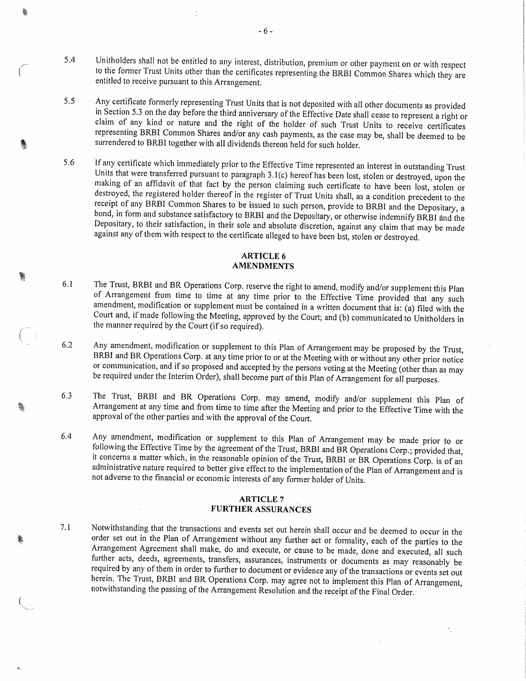- <sup>5</sup>.4 Unitholders shall not be entitled to any interest, distribution, premium or other payment on or with respect <sup>t</sup>o the former Trust Units other than the certificates representing the BRBI Common Shares which they are <sup>e</sup>ntitled to receive pursuant to this Arrangement.
- <sup>5</sup>.5 Any certificate formerly representing Trust Units that is not deposited with all other documents as provided <sup>i</sup>n Section 5.3 on the day before the third anniversary of the Effective Date shall cease to represent a right or <sup>c</sup>laim of any kind or nature and the right of the holder of such Trust Units to receive certificates <sup>r</sup>epresenting BRBI Common Shares and/or any cash payments, as the case may be, shall be deemed to be <sup>s</sup>urrendered to BRBI together with all dividends thereon held for such holder.
- <sup>5</sup>.6 If any certificate which immediately prior to the Effective Time represented an interest in outstanding Trust <sup>U</sup>nits that were transferred pursuant to paragraph 3.1(c) hereof has been lost, stolen or destroyed, upon the <sup>m</sup>aking of an affidavit of that fact by the person claiming such certificate to have been lost, stolen or <sup>d</sup>estroyed, the registered holder thereof in the register of Trust Units shall, as a condition precedent to the <sup>r</sup>eceipt of any BRBI Common Shares to be issued to such person, provide to BRBI and the Depositary, <sup>a</sup> <sup>b</sup>ond, in form and substance satisfactory to BRBI and the Depositary, or otherwise indemnify BRBI and the <sup>D</sup>epositary, to their satisfaction, in their sole and absolute discretion, against any claim that may be made <sup>a</sup>gainst any of them with respect to the certificate alleged to have been bst, stolen or destroyed.

#### ARTICLE 6 AMENDMENTS

- <sup>6</sup>.1 The Trust, BRBI and BR Operations Corp. reserve the right to amend, modify and/or supplement this Plan <sup>o</sup>f Arrangement from time to time at any time prior to the Effective Time provided that any such <sup>a</sup>mendment, modification or supplement must be contained in a written document that is: (a) filed with the <sup>C</sup>ourt and, if made following the Meeting, approved by the Court; and (b) communicated to Unitholders in <sup>t</sup>he manner required by the Court (if so required).
- <sup>6</sup>.2 Any amendment, modification or supplement to this Plan of Arrangement may be proposed by the Trust, <sup>B</sup>RBI and BR Operations Corp. at any time prior to or at the Meeting with or without any other prior notice <sup>o</sup>r communication, and if so proposed and accepted by the persons voting at the Meeting (other than as may <sup>b</sup>e required under the Interim Order), shall become part of this Plan of Arrangement for all purposes.
- <sup>6</sup>.3 The Trust, BRBI and BR Operations Corp. may amend, modify and/or supplement this Plan of <sup>A</sup>rrangement at any time and from time to time after the Meeting and prior to the Effective Time with the <sup>a</sup>pproval of the other parties and with the approval of the Court.
- <sup>6</sup>.4 Any amendment, modification or supplement to this Plan of Arrangement may be made prior to or it concerns a matter which, in the reasonable opinion of the Trust, BRBI or BR Operations Corp. is of an <sup>a</sup>dministrative nature required to better give effect to the implementation of the Plan of Arrangement and is <sup>n</sup>ot adverse to the financial or economic interests of any former holder of Units.

#### ARTICLE 7 FURTHER ASSURANCES

<sup>7</sup>.1 Notwithstanding that the transactions and events set out herein shall occur and be deemed to occur in the <sup>o</sup>rder set out in the Plan of Arrangement without any further act or formality, each of the parties to the <sup>A</sup>rrangement Agreement shall make, do and execute, or cause to be made, done and executed, all such <sup>f</sup>urther acts, deeds, agreements, transfers, assurances, instruments or documents as may reasonably be <sup>r</sup>equired by any of them in order to further to document or evidence any of the transactions or events set out <sup>h</sup>erein. The Trust, BRBI and BR Operations Corp. may agree not to implement this Plan of Arrangement, <sup>n</sup>otwithstanding the passing of the Arrangement Resolution and the receipt of the Final Order.

畲

鸗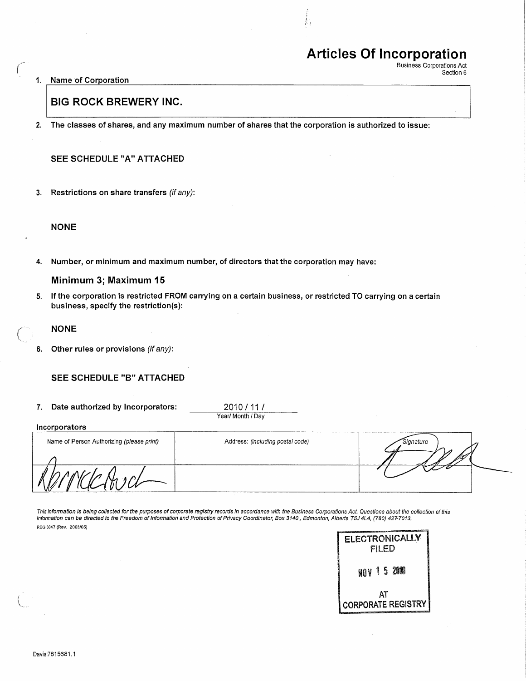# Articles Of Incorporation

Business Corporations Act Section 6

1. Name of Corporation

## BIG ROCK BREWERY INC.

2. The classes of shares, and any maximum number of shares that the corporation is authorized to issue:

### SEE SCHEDULE "A" ATTACHED

3. Restrictions on share transfers (if any):

#### NONE

4. Number, or minimum and maximum number, of directors that the corporation may have:

#### Minimum 3; Maximum 15

5. If the corporation is restricted FROM carrying on a certain business, or restricted TO carrying on a certain business, specify the restriction(s):

#### NONE

6. Other rules or provisions (if any):

#### SEE SCHEDULE "B" ATTACHED

7. Date authorized by Incorporators: 2010 / 11 /

Year/ Month / Day

| Incorporators                             |                                  |           |
|-------------------------------------------|----------------------------------|-----------|
| Name of Person Authorizing (please print) | Address: (including postal code) | Signature |
|                                           |                                  |           |
|                                           |                                  |           |
| v.                                        |                                  |           |

This information is being collected for the purposes of corporate registry records in accordance with the Business Corporations Act. Questions about the collection of this information can be directed to the Freedom of Information and Protection of Privacy Coordinator, Box 3140, Edmonton, Alberta T5J 4L4, (780) 427-7013. REG 3047 (Rev. 2003/05)

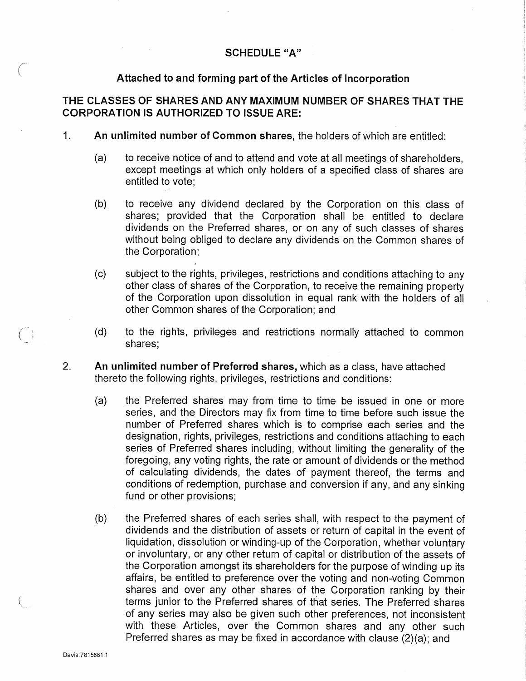## Attached to and forming part of the Articles of Incorporation

THE CLASSES OF SHARES AND ANY MAXIMUM NUMBER OF SHARES THAT THE CORPORATION IS AUTHORIZED TO ISSUE ARE:

- 1. An unlimited number of Common shares, the holders of which are entitled:
	- (a) to receive notice of and to attend and vote at all meetings of shareholders, except meetings at which only holders of a specified class of shares are entitled to vote;
	- (b) to receive any dividend declared by the Corporation on this class of shares; provided that the Corporation shall be entitled to declare dividends on the Preferred shares, or on any of such classes of shares without being obliged to declare any dividends on the Common shares of the Corporation;
	- (c) subject to the rights, privileges, restrictions and conditions attaching to any other class of shares of the Corporation, to receive the remaining property of the Corporation upon dissolution in equal rank with the holders of all other Common shares of the Corporation; and
	- (d) to the rights, privileges and restrictions normally attached to common shares;
- 2. An unlimited number of Preferred shares, which as a class, have attached thereto the following rights, privileges, restrictions and conditions:
	- (a) the Preferred shares may from time to time be issued in one or more series, and the Directors may fix from time to time before such issue the number of Preferred shares which is to comprise each series and the designation, rights, privileges, restrictions and conditions attaching to each series of Preferred shares including, without limiting the generality of the foregoing, any voting rights, the rate or amount of dividends or the method of calculating dividends, the dates of payment thereof, the terms and conditions of redemption, purchase and conversion if any, and any sinking fund or other provisions;
	- (b) the Preferred shares of each series shall, with respect to the payment of dividends and the distribution of assets or return of capital in the event of liquidation, dissolution or winding-up of the Corporation, whether voluntary or involuntary, or any other return of capital or distribution of the assets of the Corporation amongst its shareholders for the purpose of winding up its affairs, be entitled to preference over the voting and non-voting Common shares and over any other shares of the Corporation ranking by their terms junior to the Preferred shares of that series. The Preferred shares of any series may also be given such other preferences, not inconsistent with these Articles, over the Common shares and any other such Preferred shares as may be fixed in accordance with clause (2)(a); and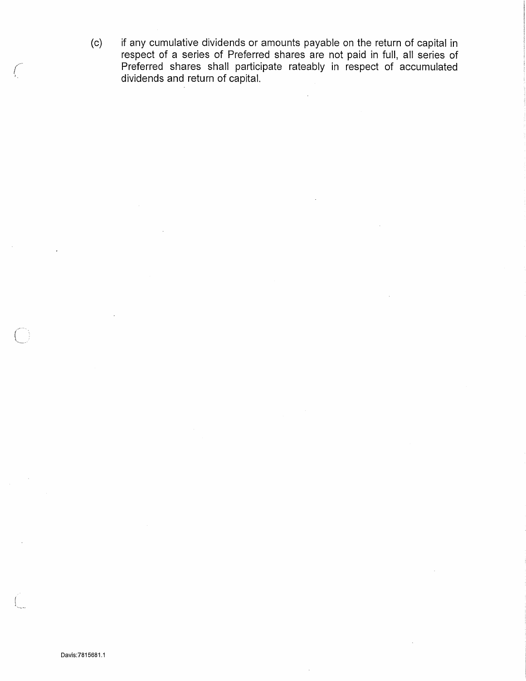(c) if any cumulative dividends or amounts payable on the return of capital in respect of a series of Preferred shares are not paid in full, all series of Preferred shares shall participate rateably in respect of accumulated dividends and return of capital.